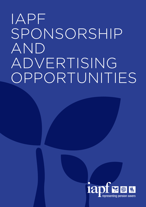# IAPF SPONSORSHIP AND ADVERTISING OPPORTUNITIES

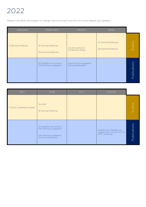# 2022

Please note dates are subject to change. See www.iapf.ie/events for event details and updates.

| JANUARY            | FEBRUARY                                             | <b>MARCH</b>                                  | <b>APRIL</b>                             |              |
|--------------------|------------------------------------------------------|-----------------------------------------------|------------------------------------------|--------------|
| 21 Seminar/Webinar | 10 Seminar/Webinar<br>24 Seminar/Webinar             | 22-25 Investment<br>Conference Week           | 07 Seminar/Webinar<br>28 Seminar/Webinar | Events       |
|                    | 25 Deadline for content -<br>Irish Pensions magazine | Irish Pensions magazine<br>Spring publication |                                          | Publications |

| MAY                      | JUNE                                                                                                  | JULY | <b>AUGUST</b>                                                            |              |
|--------------------------|-------------------------------------------------------------------------------------------------------|------|--------------------------------------------------------------------------|--------------|
| 17-19 DC Conference Week | 02 AGM<br>16 Seminar/Webinar                                                                          |      |                                                                          | Events       |
|                          | 02 Deadline for content -<br>Irish Pensions magazine<br>Irish Pensions magazine<br>Summer publication |      | Deadline for Members to<br>update their content for the<br>IAPF Yearbook | Publications |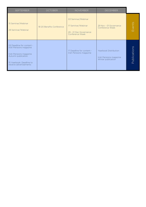| <b>SEPTEMBER</b>                                                                                                                                            | <b>OCTOBER</b>            | <b>NOVEMBER</b>                                                                       | <b>DECEMBER</b>                                                        |                     |
|-------------------------------------------------------------------------------------------------------------------------------------------------------------|---------------------------|---------------------------------------------------------------------------------------|------------------------------------------------------------------------|---------------------|
| 15 Seminar/Webinar<br>29 Seminar/Webinar                                                                                                                    | 18-20 Benefits Conference | 03 Seminar/Webinar<br>17 Seminar/Webinar<br>29 - 01 Dec Governance<br>Conference Week | 29 Nov - 01 Governance<br>Conference Week                              | Events              |
| 02 Deadline for content -<br>Irish Pensions magazine<br>Irish Pensions magazine<br>Autumn publication<br>15 Yearbook: Deadline to<br>receive advertisements |                           | 17 Deadline for content -<br>Irish Pensions magazine                                  | Yearbook Distribution<br>Irish Pensions magazine<br>Winter publication | <b>Publications</b> |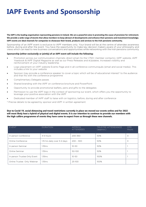# **IAPF Events and Sponsorship**

**The IAPF is the leading organisation representing pensions in Ireland. We are a powerful voice in promoting the cause of provision for retirement. We provide a wide range of events that allow members to keep abreast of developments and enhance their pensions and investment knowledge. IAPF events are ideal channels for companies to showcase their brand, products and services to the Irish pensions community.** 

Sponsorship of an IAPF event is exclusive to IAPF members only. Your brand will be at the centre of attendee awareness before, during and after the event. You have the opportunity to make key decision makers aware of your philosophy and views which can lead to new business conversations and opportunities while networking with the Irish pensions community

#### **Sponsorship (either exclusively or jointly) of an IAPF event will include the following:**

- Promotion across our communication channels; direct email (to the 1,750+ member contacts), IAPF website, IAPF Yearbook & IAPF Digital Magazine as well as our Press Releases and eUpdates. Increased visibility and reinforcement of your industry leadership
- Logo placement on IAPF website Events Page and in all conference communiqués (email and social media). This includes a link to your website
- Sponsor may provide a conference speaker to cover a topic which will be of educational interest<sup>†</sup> to the audience and that fits with the conference programme
- Complimentary Delegate passes
- Shared branding with the IAPF on conference brochure and PowerPoint
- Opportunity to provide promotional leaflets, pens and gifts to the delegates
- Permission to use the IAPF logo in the context of sponsoring our event, which offers you the opportunity to leverage your positive association with the IAPF
- Dedicated member of IAPF staff to liaise with on logistics, before, during and after conference

† Precise details to be agreed by sponsor and IAPF in written agreement

**Due to Covid-19, social distancing and travel restrictions currently in place we moved our events online and for 2022 will most likely host a hybrid of physical and digital events. It is our intention to continue to provide our members with the high calibre programme of events they have come to expect from us through these new channels.** 

| EVENT                        | <b>DURATION</b>              | APPROX.<br><b>ATTENDEES</b> | <b>TRUSTEE ATTENDANCE</b><br>(approx.) | CPD<br>Hours   |
|------------------------------|------------------------------|-----------------------------|----------------------------------------|----------------|
| In person Conference         | 4-5 hours                    | 200-350                     | 50%                                    | $\overline{4}$ |
| Online Conference            | 1.15 hrs daily over 3-4 days | $200 - 300$                 | 50%                                    | 3              |
| In person Seminar            | $1.15$ hrs                   | $10 - 50$                   | 50%                                    |                |
| Online Seminar               | $1.15$ hrs                   | 50-100                      | 50%                                    |                |
| In person Trustee Only Event | $1.15$ hrs                   | $10 - 50$                   | 100%                                   |                |
| Online Trustee Only Webinar  | $1.15$ hrs                   | 25-100                      | 100%                                   |                |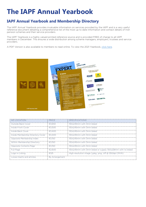## **The IAPF Annual Yearbook**

### **IAPF Annual Yearbook and Membership Directory**

The IAPF Annual Yearbook provides invaluable information on services provided by the IAPF and is a very useful reference document detailing a comprehensive list of the most up to date information and contact details of Irish pension schemes and their service providers.

The IAPF Yearbook is a highly valued printed reference source and is provided FREE of charge to all IAPF members in December. This ensures a wide distribution among scheme managers, employers, trustees and service providers.

A PDF Version is also available to members to read online. To view the 2021 Yearbook, [click here.](https://iapf.ie/Publications/IAPFYearbook/2021-adadfsaf-fggf-5/)



| $\Delta$ $\Gamma$ $\Gamma$ $\Gamma$ $\Gamma$ $\Delta$ $\Gamma$ $\Gamma$ $\Gamma$ $\Gamma$ | <b>PRICE</b>   | <b>SPECIFICATIONS</b>                                      |
|-------------------------------------------------------------------------------------------|----------------|------------------------------------------------------------|
| Outside Back Cover                                                                        | €3.650         | 150x245mm with 3mm bleed                                   |
| Inside Front Cover                                                                        | €.3.500        | 150x245mm with 3mm bleed                                   |
| Inside Back Cover                                                                         | €3.400         | 150x245mm with 3mm bleed                                   |
| Inside Membership Directory Cover                                                         | €3.400         | 150x245mm with 3mm bleed                                   |
| Opposite Membership Index                                                                 | €.5.15()       | 150x245mm with 3mm bleed                                   |
| Within Membership Directory                                                               | €3.150         | 150x245mm with 3mm bleed                                   |
| Opposite Contents Page                                                                    | €3.150         | 150x245mm with 3mm bleed                                   |
| Full Page                                                                                 | €2.600         | 150x245mm with 3mm bleed or supply 130x228mm with no bleed |
| Logo in Listing                                                                           | €125           | High-resolution image (.jpeg, .png, .tiff @ 300dpi CMYK)   |
| _oose Inserts and articles.                                                               | By Arrangement |                                                            |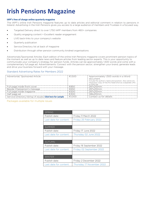### **Irish Pensions Magazine**

#### **IAPF's free of charge online quarterly magazine**

The IAPF's online Irish Pensions magazine features up to date articles and editorial comment in relation to pensions in Ireland. Advertising in the Irish Pensions gives you access to a large audience of members and Trustees in a focused way.

- Targeted Delivery direct to over 1,750 IAPF members from 460+ companies
- Quality engaging content = Excellent reader engagement
- LIVE back-links to your company's website
- Quarterly publication
- Service Directory list at back of magazine
- Distribution through other pension community kindred organisations

Advertorials/Sponsored Articles: Each edition of the online Irish Pensions magazine covers prominent pension topics of the moment as well as up to date news and feature articles from leading sector experts. This is your opportunity to communicate your company's strategy for pension funds. Articles can be approximately 1,500 words and come with a complementary full page ad. Advertisements: Connect with the pension sector, strengthen your brand, generate leads and drive your business forward with your message.

#### Standard Advertising Rates for Members 2022

| Advertorial/ Sponsored Article                             | €1500  | Approximately 1,500 words in a Word<br>document.<br>Include the author's name and position. Also send a hi-<br>resolution copy of her/his head-shot as a separate JPG<br>or PNG file. |
|------------------------------------------------------------|--------|---------------------------------------------------------------------------------------------------------------------------------------------------------------------------------------|
| Full page inside front cover                               | €850   | 297x210mm                                                                                                                                                                             |
| Beside Chairperson's message                               | €650   | 297x210mm                                                                                                                                                                             |
| Full page inside magazine                                  | €500   | 297x210mm                                                                                                                                                                             |
| Half page ad                                               | €300   | 148x210mm                                                                                                                                                                             |
| Service Directory listing (4 issues) Click here for sample | €1.000 | Contact us for details                                                                                                                                                                |

Packages available for multiple issues

| <b>SPRING</b>          |                           |  |
|------------------------|---------------------------|--|
| Publish date:          | Friday 11 March 2022      |  |
| Last date for content: | Friday 25 February 2022   |  |
|                        |                           |  |
| <b>SUMMER</b>          |                           |  |
| Publish date:          | Friday 17 June 2022       |  |
| Last date for content: | Thursday 02 June 2022     |  |
|                        |                           |  |
| <b>AUTUMN</b>          |                           |  |
| Publish date:          | Friday 16 September 2022  |  |
| Last date for content: | Friday 02 September 2022  |  |
|                        |                           |  |
| <b>WINTER</b>          |                           |  |
| Publish date:          | Friday 2 December 2022    |  |
| Last date for content: | Thursday 17 November 2022 |  |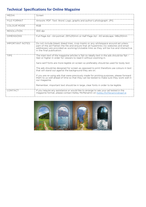### **Technical Specifications for Online Magazine**

| <b>MFDIA</b>           | Screen                                                                                                                                                                                                                                                                                            |
|------------------------|---------------------------------------------------------------------------------------------------------------------------------------------------------------------------------------------------------------------------------------------------------------------------------------------------|
| FILE FORMAT            | Artwork: PDF. Text: Word. Logo, graphs and author's photograph: JPG.                                                                                                                                                                                                                              |
| COLOUR MODE            | <b>RGB</b>                                                                                                                                                                                                                                                                                        |
| <b>RESOLUTION</b>      | 300 dpi                                                                                                                                                                                                                                                                                           |
| <b>DIMENSIONS</b>      | Full Page Ad - A4 portrait. 297x210mm or Half Page Ad - A5 landscape. 148x210mm                                                                                                                                                                                                                   |
| <b>IMPORTANT NOTES</b> | Do not include bleed, bleed lines, crop marks or any whitespace around ad unless<br>part of the ad Flatten the file and ensure that all hyperlinks (to websites and email<br>addresses) are provided as working/clickable links as they will be live and interactive<br>in the final publication. |
| <b>TIPS</b>            | The main text of the magazine articles is 11pt so ideally text in the ads should be 11pt -<br>12pt or higher in order for viewers to read it without zooming in.<br>Sans-serif fonts are more legible on screen so preferably should be used for body text.                                       |
|                        | The ads should be designed for screen as opposed to print therefore use colours in text<br>that will stand out against the background they are on.                                                                                                                                                |
|                        | If you are re-using ads that were previously made for printing purposes, please forward<br>them to us well ahead of time so that they can be tested to make sure they work well in<br>our magazine.                                                                                               |
|                        | Remember, important text should be in large, clear fonts in order to be legible.                                                                                                                                                                                                                  |
| CONTACT                | If you require any assistance or would like to arrange to see your ad tested in the<br>magazine format, please contact Kelley McMenamin on Kelley.McMenamin@iapf.ie                                                                                                                               |

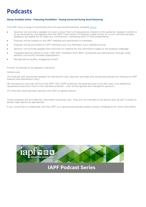### **Podcasts**

#### **Always Available Online - Podcasting Possibilities - Staying Connected During Social Distancing**

The IAPF have a range of sponsored and non-sponsored podcasts availabl[e online.](https://iapf.ie/podcasts/)

- Sponsor can provide a speaker to cover a topic that is of educational interest to the audience. Speaker content is to be reviewed by and agreed with the IAPF. Final version of Podcast made strictly on a non-commercial basis. Speakers are asked not to make any commercial / marketing pitch in their presentation.
- Podcast will be hosted on the IAPF website and distributed to members
- Podcast will be promoted to IAPF members and non-Members via a marketing email
- Sponsor can provide speaker bios and links to material for the information page on the podcast webpage
- Targeted Delivery direct to over 1,750 IAPF members from 460+ companies plus distribution through other pension community kindred organisations
- Recognised as quality, engaging content

Format of podcast to be agreed in advance:

#### Options are

(A) Podcast with sponsored speaker for distribution only (sponsor provides fully produced podcast for hosting on IAPF website and distribution only)

(B) Introduction and sign off from the IAPF CEO (IAPF produces the podcast and incurs the costs. Any additional requested production work to the standard podcast – cost will be agreed and charged to sponsor)

(C) Interview style between sponsor and CEO or agreed person

These podcasts are provided for information purposes only. They are not intended to be advice and we ask Trustees to always seek advice as appropriate.

If you would like to collaborate with the IAPF on a sponsored podcast please contact info@iapf.ie for more information